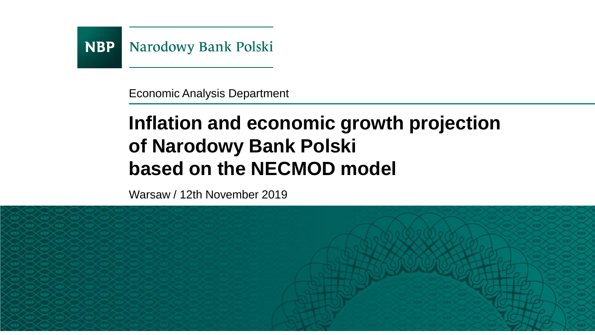

Economic Analysis Department

## **Inflation and economic growth projection of Narodowy Bank Polski based on the NECMOD model**

Warsaw / 12th November 2019

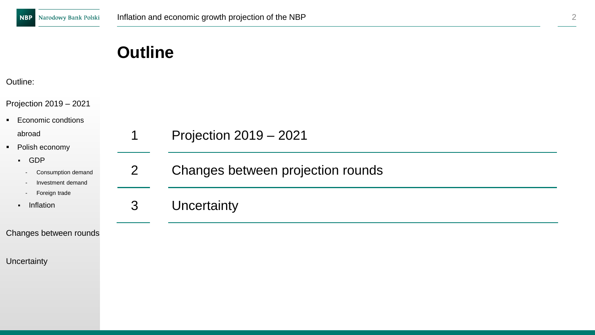#### Outline:

Projection 2019

■ Economic cond

abroad

- Polish econom
	- GDP
		- Consumption
		- Investment
		- Foreign tra
	- Inflation

Changes betwee

**Uncertainty** 

| $-2021$             |                |                                   |
|---------------------|----------------|-----------------------------------|
| dtions              |                |                                   |
| ١у                  | 1              | Projection 2019 - 2021            |
| on demand<br>demand | $\overline{2}$ | Changes between projection rounds |
| de                  | 3              | Uncertainty                       |
| en rounds           |                |                                   |
|                     |                |                                   |
|                     |                |                                   |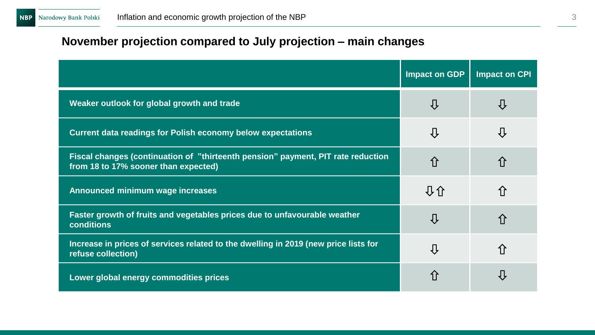## **November projection compared to July projection – main changes**

|                                                                                                                          | <b>Impact on GDP</b> | <b>Impact on CPI</b> |
|--------------------------------------------------------------------------------------------------------------------------|----------------------|----------------------|
| Weaker outlook for global growth and trade                                                                               | ⇩                    | 仩                    |
| <b>Current data readings for Polish economy below expectations</b>                                                       | ⇩                    | 心                    |
| Fiscal changes (continuation of "thirteenth pension" payment, PIT rate reduction<br>from 18 to 17% sooner than expected) | 仚                    | ⇧                    |
| Announced minimum wage increases                                                                                         | 40                   | 介                    |
| Faster growth of fruits and vegetables prices due to unfavourable weather<br>conditions                                  | ⇩                    | 介                    |
| Increase in prices of services related to the dwelling in 2019 (new price lists for<br>refuse collection)                | ⇩                    | 介                    |
| Lower global energy commodities prices                                                                                   | ⇧                    | IJ                   |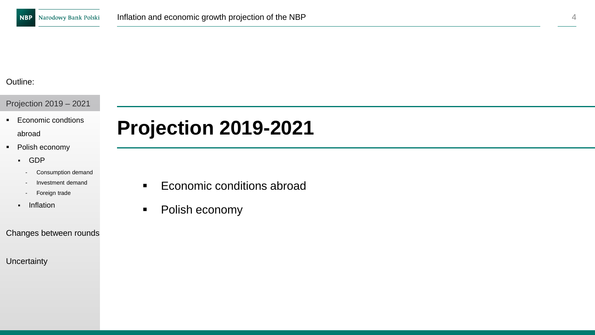#### Projection 2019 – 2021

- Economic condtions abroad
- Polish economy
	- GDP
		- Consumption demand
		- Investment demand
		- Foreign trade
	- Inflation

#### Changes between rounds

**Uncertainty** 

## **Projection 2019-2021**

- Economic conditions abroad
- Polish economy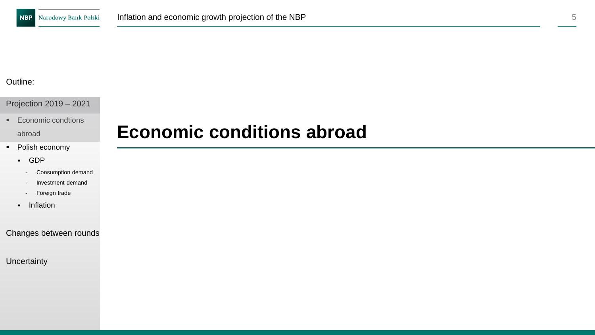#### Projection 2019 – 2021

■ Economic condtions

abroad

- Polish economy
	- GDP
		- Consumption demand
		- Investment demand
		- Foreign trade
	- Inflation

#### Changes between rounds

#### **Uncertainty**

## **Economic conditions abroad**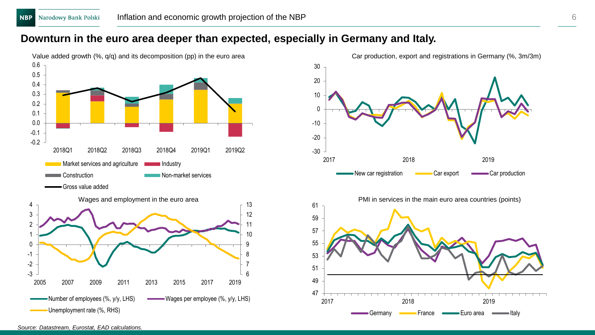#### **Downturn in the euro area deeper than expected, especially in Germany and Italy.**





*Source: Datastream, Eurostat, EAD calculations.*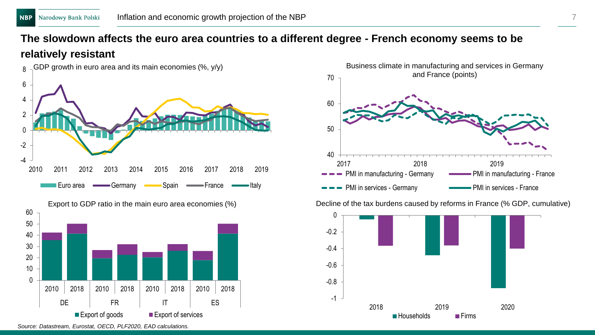## **The slowdown affects the euro area countries to a different degree - French economy seems to be relatively resistant**





Export to GDP ratio in the main euro area economies (%) Decline of the tax burdens caused by reforms in France (% GDP, cumulative)



*Source: Datastream, Eurostat, OECD, PLF2020, EAD calculations.*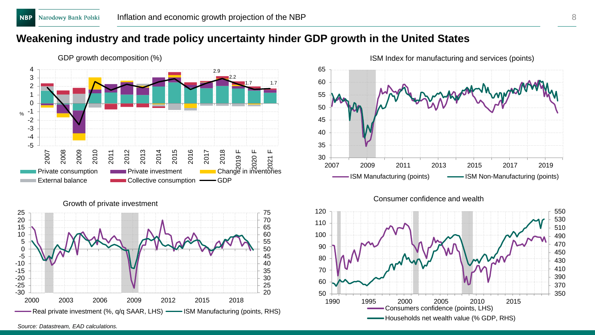### **Weakening industry and trade policy uncertainty hinder GDP growth in the United States**





ISM Index for manufacturing and services (points)





 -30 -25 -20 -15 -10 -5 2003 2006 2009 2012 2015 2018 Real private investment (%, q/q SAAR, LHS) - ISM Manufacturing (points, RHS)

*Source: Datastream, EAD calculations.*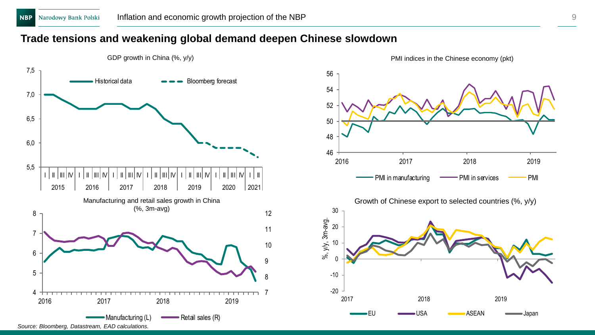### **Trade tensions and weakening global demand deepen Chinese slowdown**





PMI indices in the Chinese economy (pkt)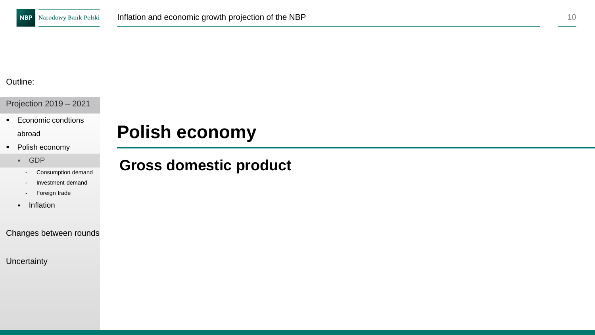Projection 2019 – 2021

■ Economic condtions

abroad

- Polish economy
	- GDP
		- Consumption demand
		- Investment demand
		- Foreign trade
	- Inflation

Changes between rounds

**Uncertainty** 

## **Polish economy**

## **Gross domestic product**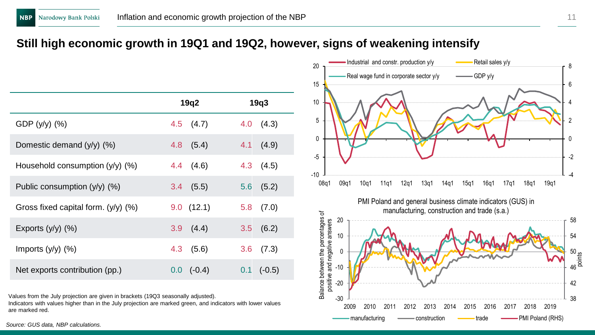### **Still high economic growth in 19Q1 and 19Q2, however, signs of weakening intensify**

|                                       | 19q2            | 19q3          |
|---------------------------------------|-----------------|---------------|
| GDP (y/y) (%)                         | $4.5$ $(4.7)$   | (4.3)<br>4.0  |
| Domestic demand $(y/y)$ $(\%)$        | (5.4)<br>$4.8-$ | $4.1$ $(4.9)$ |
| Household consumption (y/y) (%)       | 4.4 (4.6)       | $4.3$ $(4.5)$ |
| Public consumption $(y/y)$ (%)        | $3.4$ (5.5)     | $5.6$ $(5.2)$ |
| Gross fixed capital form. $(y/y)$ (%) | 9.0(12.1)       | $5.8$ $(7.0)$ |
| Exports $(y/y)$ $(\%)$                | $3.9$ $(4.4)$   | 3.5(6.2)      |
| Imports $(y/y)$ $(\%)$                | $4.3$ $(5.6)$   | 3.6<br>(7.3)  |
| Net exports contribution (pp.)        | $(-0.4)$<br>0.0 | $0.1$ (-0.5)  |

Values from the July projection are given in brackets (19Q3 seasonally adjusted).

Indicators with values higher than in the July projection are marked green, and indicators with lower values are marked red.

Industrial and constr. production  $y/y$  Retail sales  $y/y$ 20 8 Real wage fund in corporate sector  $y/y$   $\longrightarrow$  GDP  $y/y$ 15 6 10 4 5 2 0  $\Omega$ -5 -2 -10 -4 08q1 09q1 10q1 11q1 12q1 13q1 14q1 15q1 16q1 17q1 18q1 19q1 PMI Poland and general business climate indicators (GUS) in manufacturing, construction and trade (s.a.) Balance between the percentages of Balance between the percentages of 20 58 positive and negative answers positive and negative answers 54 10 0 50<br>... <u>ja</u><br>... p -10 46 -20 42 -30 38 2009 2010 2011 2012 2013 2014 2015 2016 2017 2018 2019 manufacturing  $\longrightarrow$  construction  $\longrightarrow$  trade  $\longrightarrow$  PMI Poland (RHS)

*Source: GUS data, NBP calculations.*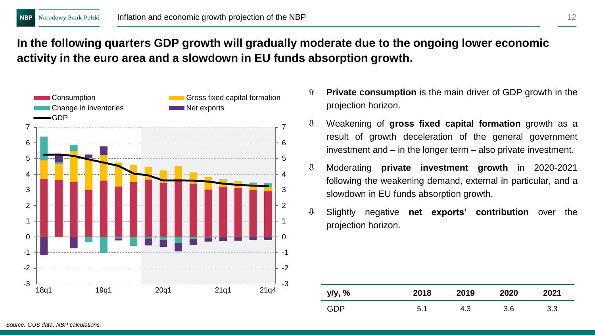## **In the following quarters GDP growth will gradually moderate due to the ongoing lower economic activity in the euro area and a slowdown in EU funds absorption growth.**



- **Private consumption** is the main driver of GDP growth in the projection horizon.
- Weakening of **gross fixed capital formation** growth as a result of growth deceleration of the general government investment and – in the longer term – also private investment.
- Moderating **private investment growth** in 2020-2021 following the weakening demand, external in particular, and a slowdown in EU funds absorption growth.
- Slightly negative **net exports' contribution** over the projection horizon.

| y/y, % | 2018 | 2019 | 2020 | 2021 |
|--------|------|------|------|------|
| GDP    | 5.1  | 4.3  | 3.6  | 3.3  |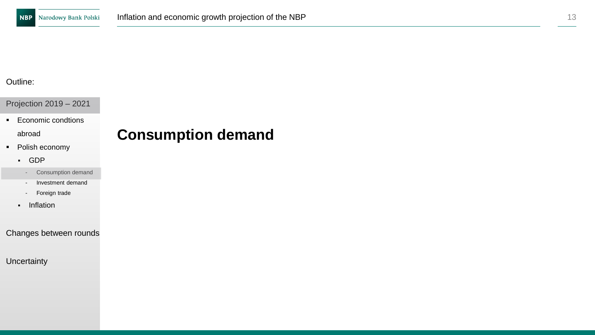Projection 2019 – 2021

■ Economic condtions

abroad

- Polish economy
	- GDP
		- Consumption demand
		- Investment demand
		- Foreign trade
	- Inflation

#### Changes between rounds

**Uncertainty** 

## **Consumption demand**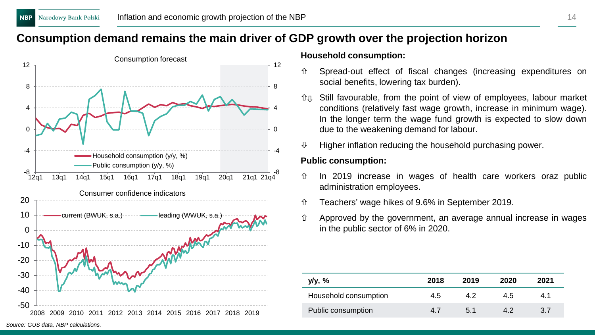## **Consumption demand remains the main driver of GDP growth over the projection horizon**



#### **Household consumption:**

- Spread-out effect of fiscal changes (increasing expenditures on social benefits, lowering tax burden).
- Still favourable, from the point of view of employees, labour market conditions (relatively fast wage growth, increase in minimum wage). In the longer term the wage fund growth is expected to slow down due to the weakening demand for labour.
- Higher inflation reducing the household purchasing power.

#### **Public consumption:**

- $\hat{U}$  In 2019 increase in wages of health care workers oraz public administration employees.
- Teachers' wage hikes of 9.6% in September 2019.
- $\hat{u}$  Approved by the government, an average annual increase in wages in the public sector of 6% in 2020.

| y/y, %                | 2018 | 2019 | 2020 | 2021 |
|-----------------------|------|------|------|------|
| Household consumption | 4.5  | 42   | 4.5  | 4.1  |
| Public consumption    | 4.7  | 5.1  | 42   | 3.7  |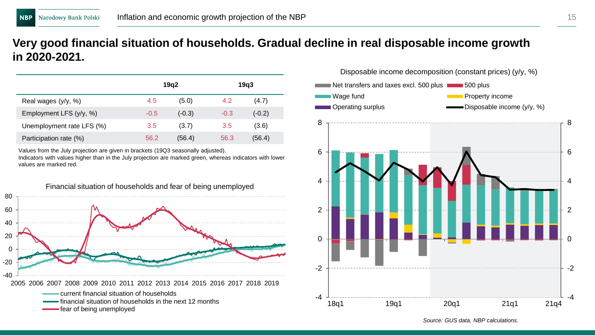### **Very good financial situation of households. Gradual decline in real disposable income growth in 2020-2021.**

|                           |        | 19q2     |        | 19q3     |
|---------------------------|--------|----------|--------|----------|
| Real wages (y/y, %)       | 4.5    | (5.0)    | 4.2    | (4.7)    |
| Employment LFS (y/y, %)   | $-0.5$ | $(-0.3)$ | $-0.3$ | $(-0.2)$ |
| Unemployment rate LFS (%) | 3.5    | (3.7)    | 3.5    | (3.6)    |
| Participation rate (%)    | 56.2   | (56.4)   | 56.3   | (56.4)   |

Values from the July projection are given in brackets (19Q3 seasonally adjusted).

Indicators with values higher than in the July projection are marked green, whereas indicators with lower values are marked red.





*Source: GUS data, NBP calculations.*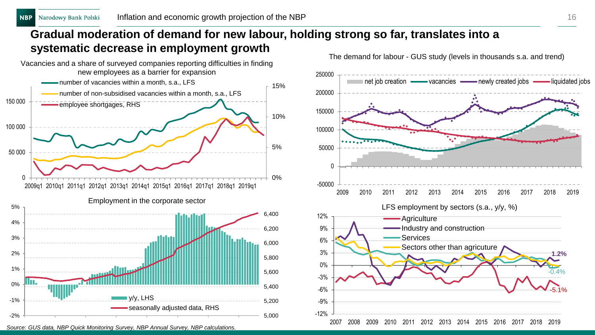## **Gradual moderation of demand for new labour, holding strong so far, translates into a systematic decrease in employment growth**



*Source: GUS data, NBP Quick Monitoring Survey, NBP Annual Survey, NBP calculations.*

The demand for labour - GUS study (levels in thousands s.a. and trend)

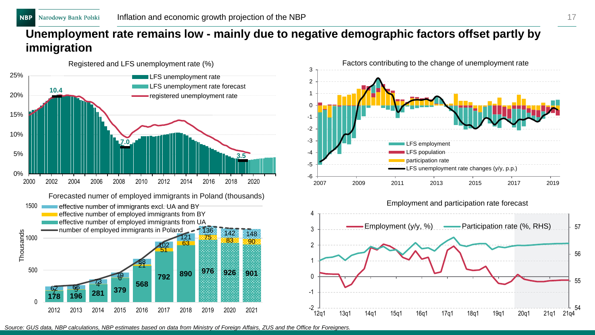## **Unemployment rate remains low - mainly due to negative demographic factors offset partly by immigration**



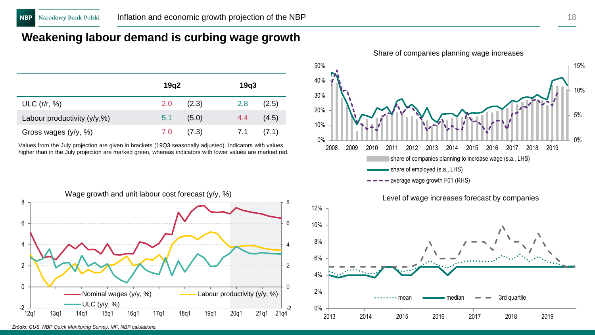## **Weakening labour demand is curbing wage growth**

|                                | 19q2 |       | 19q3 |       |
|--------------------------------|------|-------|------|-------|
| ULC $(r/r, %)$                 | 2.0  | (2.3) | 2.8  | (2.5) |
| Labour productivity $(y/y, %)$ | 5.1  | (5.0) | 4.4  | (4.5) |
| Gross wages (y/y, %)           | 7.0  | (7.3) | 7.1  | (7.1) |

Values from the July projection are given in brackets (19Q3 seasonally adjusted). Indicators with values higher than in the July projection are marked green, whereas indicators with lower values are marked red.

0% 5% 10% 15% 0% 10% 20% 30% 40% 50% 2008 2009 2010 2011 2012 2013 2014 2015 2016 2017 2018 2019 share of companies planning to increase wage (s.a., LHS) share of employed (s.a., LHS) average wage growth F01 (RHS)



Share of companies planning wage increases

*Źródło: GUS, NBP Quick Monitoring Survey, MF, NBP calulations.*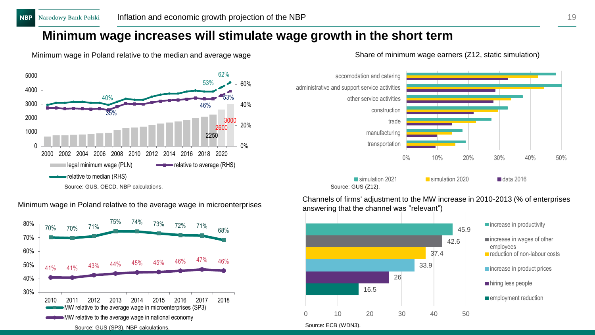## **Minimum wage increases will stimulate wage growth in the short term**



Minimum wage in Poland relative to the median and average wage

Source: GUS (Z12). 0% 10% 20% 30% 40% 50% transportation manufacturing trade construction other service activities administrative and support service activities accomodation and catering **Solution 2021** simulation 2020 **data 2016** 

Minimum wage in Poland relative to the average wage in microenterprises





Channels of firms' adjustment to the MW increase in 2010-2013 (% of enterprises answering that the channel was "relevant")

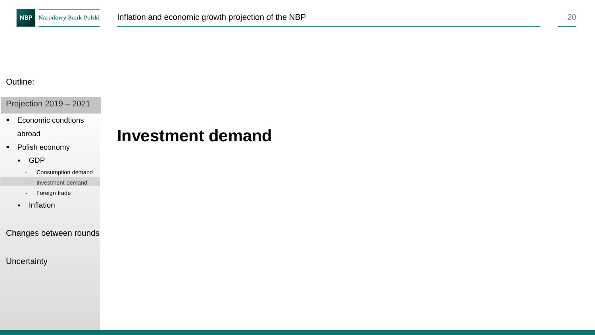Projection 2019 – 2021

■ Economic condtions

abroad

- Polish economy
	- GDP
		- Consumption demand
	- Investment demand
	- Foreign trade
	- Inflation

Changes between rounds

**Uncertainty** 

## **Investment demand**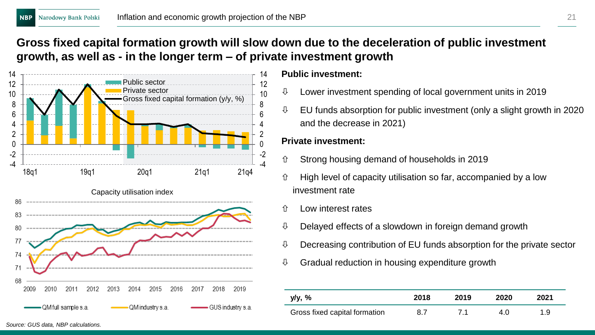## **Gross fixed capital formation growth will slow down due to the deceleration of public investment growth, as well as - in the longer term – of private investment growth**



#### **Public investment:**

- $\downarrow$  Lower investment spending of local government units in 2019
- $\updownarrow$  EU funds absorption for public investment (only a slight growth in 2020) and the decrease in 2021)

### **Private investment:**

- $\hat{U}$  Strong housing demand of households in 2019
- $\hat{U}$  High level of capacity utilisation so far, accompanied by a low investment rate
- $\hat{U}$  Low interest rates
- $\mathbb U$  Delayed effects of a slowdown in foreign demand growth
- $\updownarrow$  Decreasing contribution of EU funds absorption for the private sector
- $\theta$  Gradual reduction in housing expenditure growth

| y/y, %                        | 2018 | 2019 | 2020 | 2021 |
|-------------------------------|------|------|------|------|
| Gross fixed capital formation | 8.7  |      | 4.0  | 1.9  |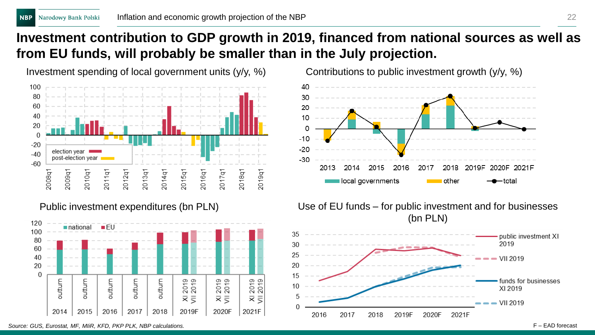## **Investment contribution to GDP growth in 2019, financed from national sources as well as from EU funds, will probably be smaller than in the July projection.**





Investment spending of local government units  $(y/y, %)$  Contributions to public investment growth  $(y/y, %)$ 



Public investment expenditures (bn PLN) Use of EU funds – for public investment and for businesses (bn PLN)



*Source: GUS, Eurostat, MF, MIiR, KFD, PKP PLK, NBP calculations.* F – EAD forecast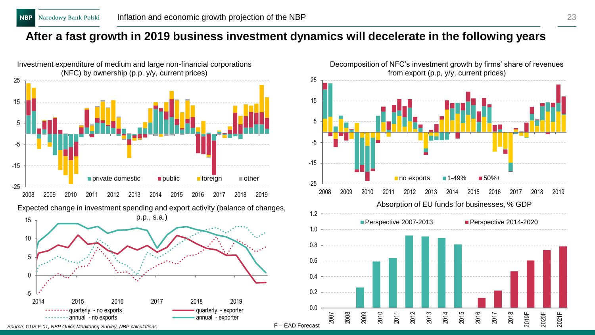### **After a fast growth in 2019 business investment dynamics will decelerate in the following years**



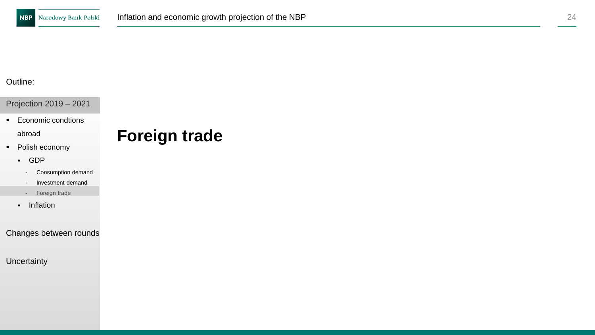Projection 2019 – 2021

■ Economic condtions

#### abroad

- Polish economy
	- GDP
		- Consumption demand
	- Investment demand
	- Foreign trade
	- Inflation

#### Changes between rounds

#### **Uncertainty**

## **Foreign trade**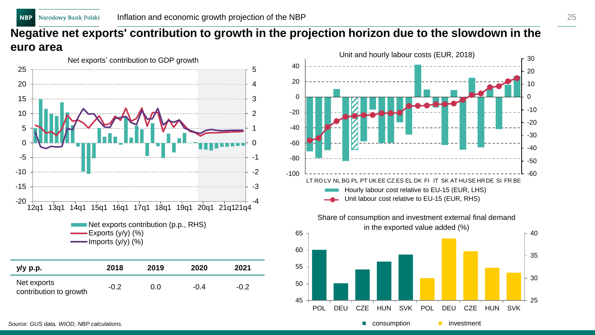## **Negative net exports' contribution to growth in the projection horizon due to the slowdown in the euro area**







**EX consumption** investment

*Source: GUS data, WIOD, NBP calculations.*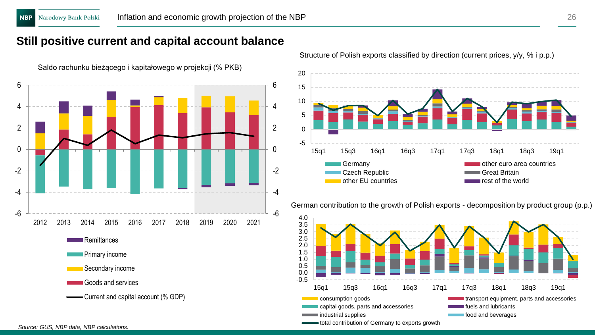## **Still positive current and capital account balance**



-5  $\Omega$ 5 10 15 20 15q1 15q3 16q1 16q3 17q1 17q3 18q1 18q3 19q1 Germany **Construction Construction Construction** other euro area countries Czech Republic **Great Britain** other EU countries and the world

German contribution to the growth of Polish exports - decomposition by product group (p.p.)



Structure of Polish exports classified by direction (current prices,  $y/y$ , % i p.p.)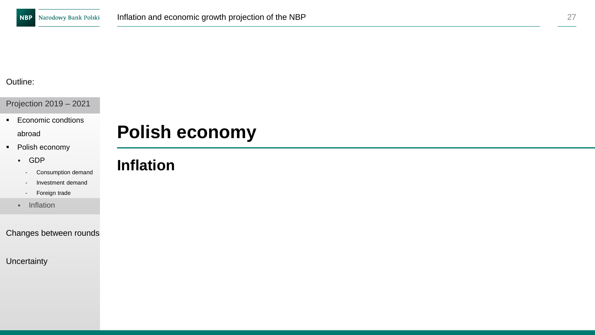Projection 2019 – 2021

■ Economic condtions

abroad

- Polish economy
	- GDP
		- Consumption demand
		- Investment demand
		- Foreign trade
	- Inflation

#### Changes between rounds

**Uncertainty** 

## **Polish economy**

## **Inflation**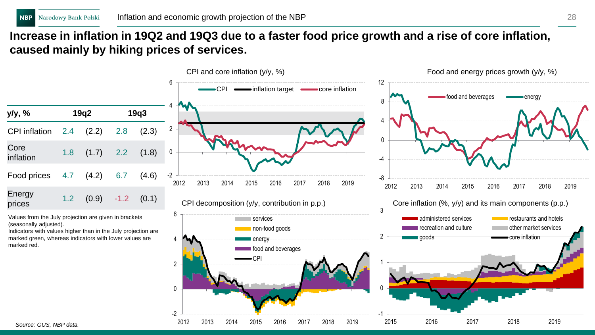## **Increase in inflation in 19Q2 and 19Q3 due to a faster food price growth and a rise of core inflation, caused mainly by hiking prices of services.**

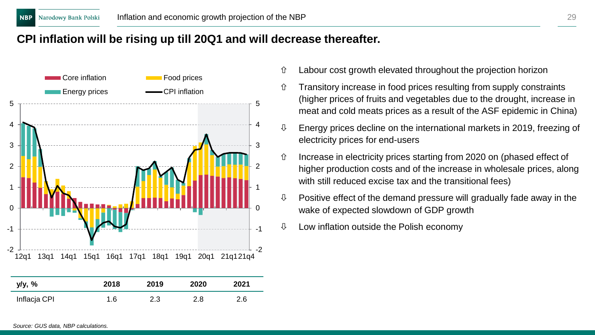### **CPI inflation will be rising up till 20Q1 and will decrease thereafter.**

![](_page_28_Figure_3.jpeg)

- $\hat{U}$  Labour cost growth elevated throughout the projection horizon
- $\hat{U}$  Transitory increase in food prices resulting from supply constraints (higher prices of fruits and vegetables due to the drought, increase in meat and cold meats prices as a result of the ASF epidemic in China)
- $\updownarrow$  Energy prices decline on the international markets in 2019, freezing of electricity prices for end-users
- $\hat{U}$  Increase in electricity prices starting from 2020 on (phased effect of higher production costs and of the increase in wholesale prices, along with still reduced excise tax and the transitional fees)
- $\theta$  Positive effect of the demand pressure will gradually fade away in the wake of expected slowdown of GDP growth
- $\theta$  Low inflation outside the Polish economy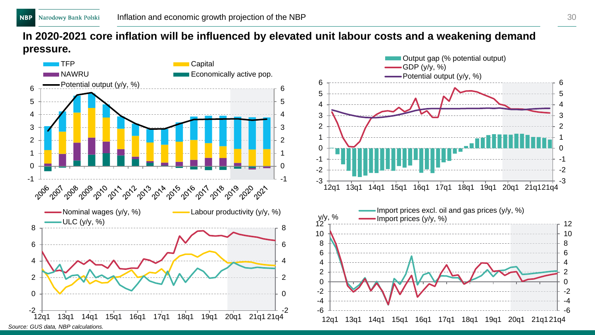### **In 2020-2021 core inflation will be influenced by elevated unit labour costs and a weakening demand pressure.**

![](_page_29_Figure_3.jpeg)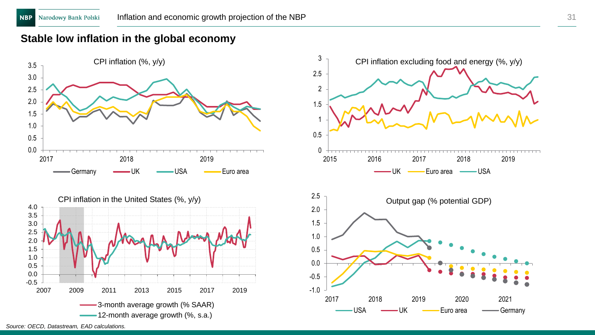### **Stable low inflation in the global economy**

![](_page_30_Figure_3.jpeg)

![](_page_30_Figure_4.jpeg)

*Source: OECD, Datastream, EAD calculations.*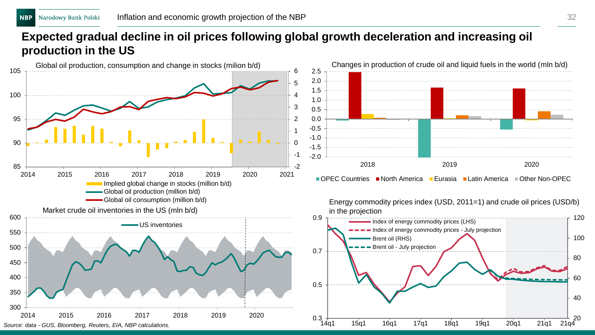## **Expected gradual decline in oil prices following global growth deceleration and increasing oil production in the US**

![](_page_31_Figure_3.jpeg)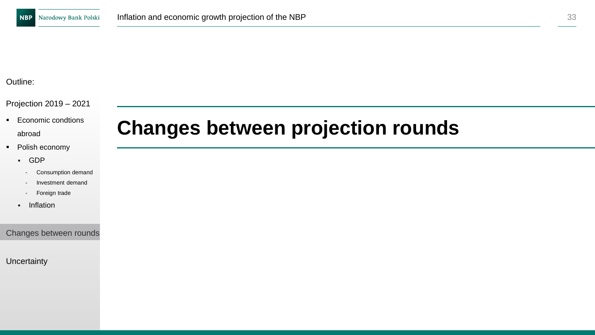#### Projection 2019 – 2021

- Economic condtions abroad
- Polish economy
	- GDP
		- Consumption demand
		- Investment demand
		- Foreign trade
	- Inflation

Changes between rounds

**Uncertainty** 

## **Changes between projection rounds**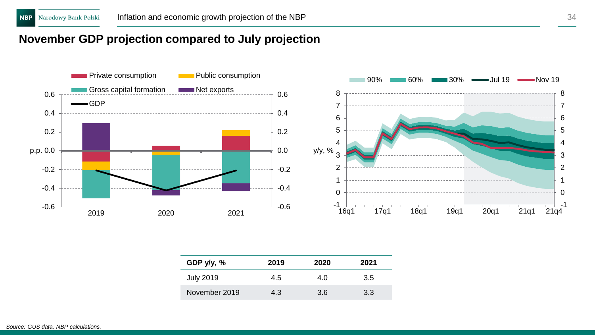## **November GDP projection compared to July projection**

![](_page_33_Figure_3.jpeg)

| GDP $y/y$ , % | 2019 | 2020 | 2021 |
|---------------|------|------|------|
| July 2019     | 4.5  | 4.0  | 3.5  |
| November 2019 | 4.3  | 3.6  | 3.3  |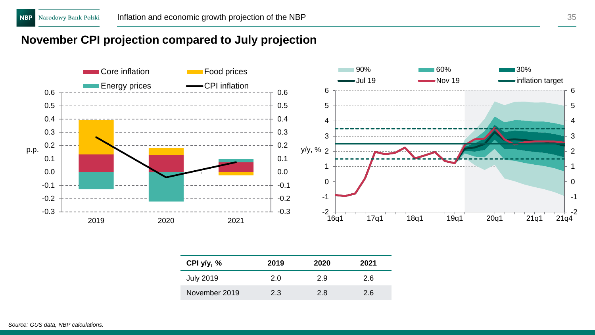### **November CPI projection compared to July projection**

![](_page_34_Figure_4.jpeg)

| CPI $y/y, %$  | 2019 | 2020 | 2021 |
|---------------|------|------|------|
| July 2019     | 2.0  | 2.9  | 2.6  |
| November 2019 | 2.3  | 2.8  | 2.6  |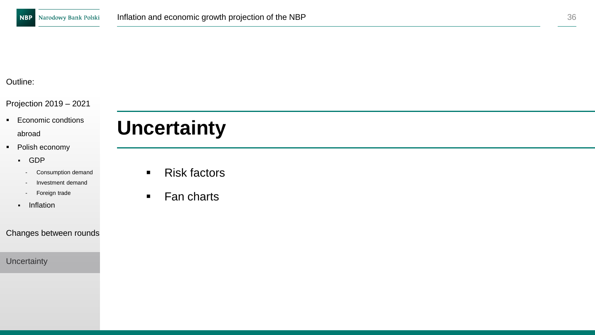#### Projection 2019 – 2021

- Economic condtions abroad
- Polish economy
	- GDP
		- Consumption demand
		- Investment demand
		- Foreign trade
	- Inflation

#### Changes between rounds

**Uncertainty** 

# **Uncertainty**

- Risk factors
- Fan charts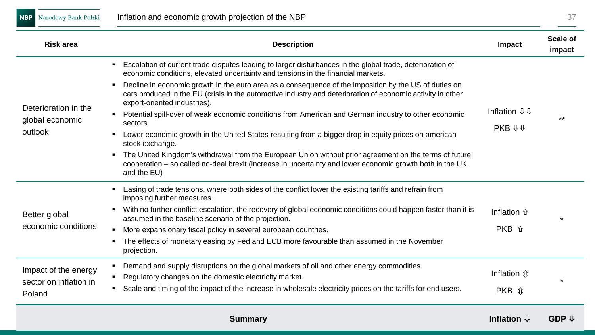**NBP** Narodowy Bank Polski

| Risk area                                                                                                                                                                                                                                                                                                                                                                                                                                                                                                                                                                                                                                                                                                                                                                                                                                                                                                                                                                                                                                                                                                                                                                                                                                                                                                                                                   | <b>Description</b>                                                                                                                                                                                                 | Impact                              | Scale of<br>impact |
|-------------------------------------------------------------------------------------------------------------------------------------------------------------------------------------------------------------------------------------------------------------------------------------------------------------------------------------------------------------------------------------------------------------------------------------------------------------------------------------------------------------------------------------------------------------------------------------------------------------------------------------------------------------------------------------------------------------------------------------------------------------------------------------------------------------------------------------------------------------------------------------------------------------------------------------------------------------------------------------------------------------------------------------------------------------------------------------------------------------------------------------------------------------------------------------------------------------------------------------------------------------------------------------------------------------------------------------------------------------|--------------------------------------------------------------------------------------------------------------------------------------------------------------------------------------------------------------------|-------------------------------------|--------------------|
|                                                                                                                                                                                                                                                                                                                                                                                                                                                                                                                                                                                                                                                                                                                                                                                                                                                                                                                                                                                                                                                                                                                                                                                                                                                                                                                                                             | Escalation of current trade disputes leading to larger disturbances in the global trade, deterioration of<br>economic conditions, elevated uncertainty and tensions in the financial markets.                      |                                     |                    |
| Decline in economic growth in the euro area as a consequence of the imposition by the US of duties on<br>л.<br>cars produced in the EU (crisis in the automotive industry and deterioration of economic activity in other<br>export-oriented industries).<br>Deterioration in the<br>Potential spill-over of weak economic conditions from American and German industry to other economic<br>global economic<br>sectors.<br>outlook<br>Lower economic growth in the United States resulting from a bigger drop in equity prices on american<br>stock exchange.<br>and the EU)<br>Easing of trade tensions, where both sides of the conflict lower the existing tariffs and refrain from<br>imposing further measures.<br>Better global<br>assumed in the baseline scenario of the projection.<br>economic conditions<br>More expansionary fiscal policy in several european countries.<br>л.<br>The effects of monetary easing by Fed and ECB more favourable than assumed in the November<br>projection.<br>Demand and supply disruptions on the global markets of oil and other energy commodities.<br>л.<br>Impact of the energy<br>Regulatory changes on the domestic electricity market.<br>٠<br>sector on inflation in<br>Scale and timing of the impact of the increase in wholesale electricity prices on the tariffs for end users.<br>٠<br>Poland |                                                                                                                                                                                                                    |                                     |                    |
|                                                                                                                                                                                                                                                                                                                                                                                                                                                                                                                                                                                                                                                                                                                                                                                                                                                                                                                                                                                                                                                                                                                                                                                                                                                                                                                                                             |                                                                                                                                                                                                                    | Inflation $\overline{\psi}\psi$     |                    |
|                                                                                                                                                                                                                                                                                                                                                                                                                                                                                                                                                                                                                                                                                                                                                                                                                                                                                                                                                                                                                                                                                                                                                                                                                                                                                                                                                             |                                                                                                                                                                                                                    | <b>PKB <math>\theta \psi</math></b> |                    |
|                                                                                                                                                                                                                                                                                                                                                                                                                                                                                                                                                                                                                                                                                                                                                                                                                                                                                                                                                                                                                                                                                                                                                                                                                                                                                                                                                             | The United Kingdom's withdrawal from the European Union without prior agreement on the terms of future<br>cooperation - so called no-deal brexit (increase in uncertainty and lower economic growth both in the UK |                                     |                    |
|                                                                                                                                                                                                                                                                                                                                                                                                                                                                                                                                                                                                                                                                                                                                                                                                                                                                                                                                                                                                                                                                                                                                                                                                                                                                                                                                                             |                                                                                                                                                                                                                    |                                     |                    |
|                                                                                                                                                                                                                                                                                                                                                                                                                                                                                                                                                                                                                                                                                                                                                                                                                                                                                                                                                                                                                                                                                                                                                                                                                                                                                                                                                             | With no further conflict escalation, the recovery of global economic conditions could happen faster than it is                                                                                                     | Inflation $\hat{\pi}$               |                    |
|                                                                                                                                                                                                                                                                                                                                                                                                                                                                                                                                                                                                                                                                                                                                                                                                                                                                                                                                                                                                                                                                                                                                                                                                                                                                                                                                                             |                                                                                                                                                                                                                    | PKB 介                               |                    |
|                                                                                                                                                                                                                                                                                                                                                                                                                                                                                                                                                                                                                                                                                                                                                                                                                                                                                                                                                                                                                                                                                                                                                                                                                                                                                                                                                             |                                                                                                                                                                                                                    |                                     |                    |
|                                                                                                                                                                                                                                                                                                                                                                                                                                                                                                                                                                                                                                                                                                                                                                                                                                                                                                                                                                                                                                                                                                                                                                                                                                                                                                                                                             |                                                                                                                                                                                                                    |                                     |                    |
|                                                                                                                                                                                                                                                                                                                                                                                                                                                                                                                                                                                                                                                                                                                                                                                                                                                                                                                                                                                                                                                                                                                                                                                                                                                                                                                                                             |                                                                                                                                                                                                                    | <b>Inflation</b> ൂ                  |                    |
|                                                                                                                                                                                                                                                                                                                                                                                                                                                                                                                                                                                                                                                                                                                                                                                                                                                                                                                                                                                                                                                                                                                                                                                                                                                                                                                                                             |                                                                                                                                                                                                                    | $PKB$ $\hat{v}$                     |                    |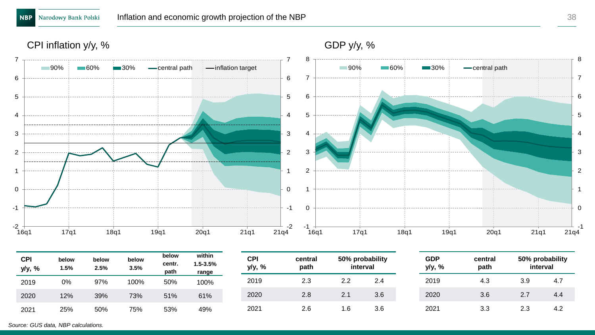CPI inflation y/y, %

![](_page_37_Figure_4.jpeg)

| <b>CPI</b><br>y/y, % | below<br>1.5% | below<br>2.5% | below<br>3.5% | below<br>centr.<br>path | within<br>1.5-3.5%<br>range | <b>CPI</b><br>y/y, % | central<br>path |     | 50% probability<br>interval | GDP<br>y/y, % | central<br>path |     | 50% probability<br>interval |  |     |      |      |     |     |     |      |     |     |     |
|----------------------|---------------|---------------|---------------|-------------------------|-----------------------------|----------------------|-----------------|-----|-----------------------------|---------------|-----------------|-----|-----------------------------|--|-----|------|------|-----|-----|-----|------|-----|-----|-----|
| 0%<br>2019           | 97%           |               |               |                         |                             | 100%                 |                 |     |                             |               |                 |     |                             |  | 50% | 100% | 2019 | 2.3 | 2.2 | 2.4 | 2019 | 4.3 | 3.9 | 4.7 |
| 2020                 | 12%           | 39%           | 73%           | 51%                     | 61%                         | 2020                 | 2.8             | 2.1 | 3.6                         | 2020          | 3.6             | 2.7 | 4.4                         |  |     |      |      |     |     |     |      |     |     |     |
| 2021                 | 25%           | 50%           | 75%           | 53%                     | 49%                         | 2021                 | 2.6             | 1.6 | 3.6                         | 2021          | 3.3             | 2.3 | 4.2                         |  |     |      |      |     |     |     |      |     |     |     |

*Source: GUS data, NBP calculations.*